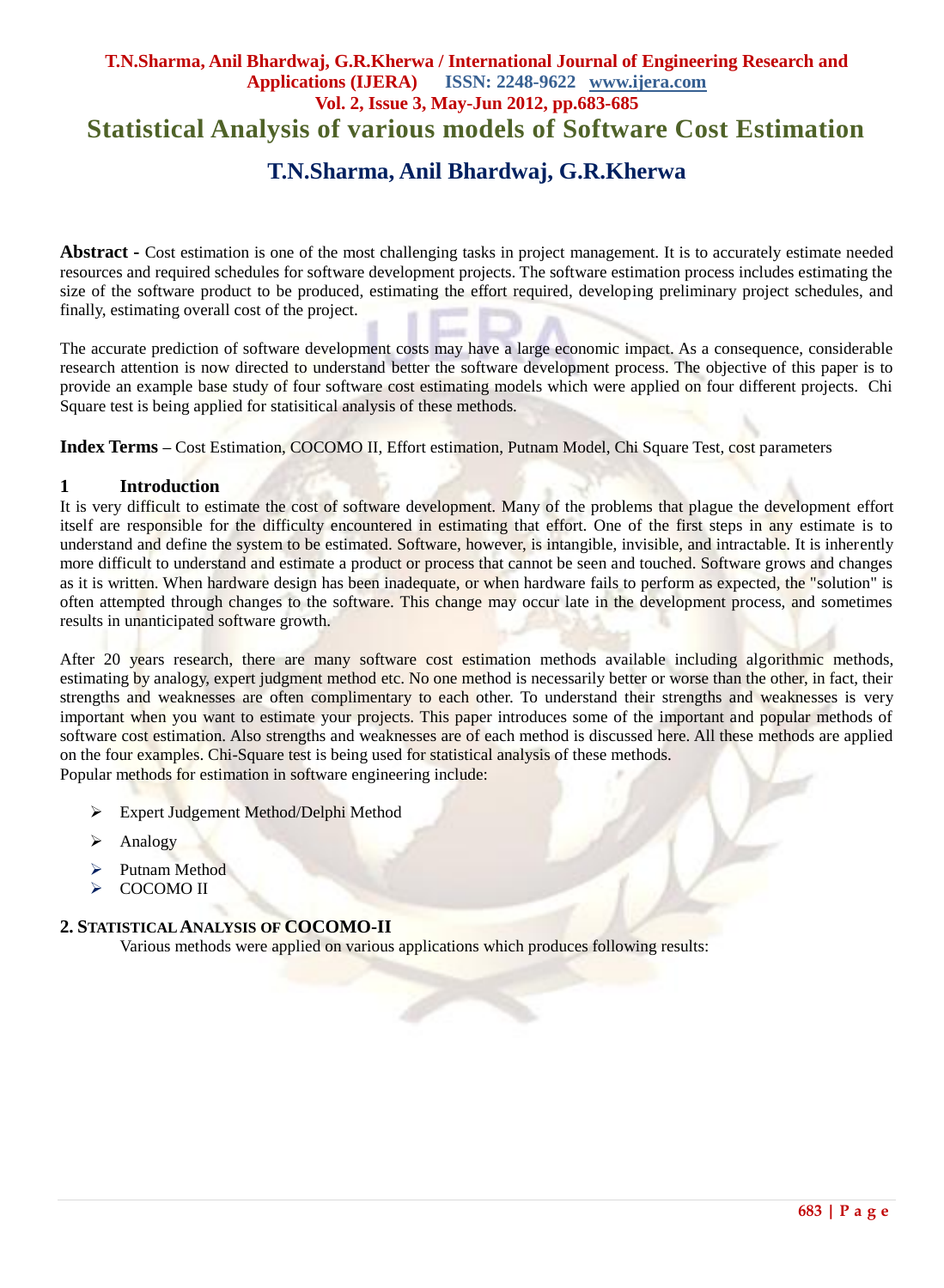# **T.N.Sharma, Anil Bhardwaj, G.R.Kherwa / International Journal of Engineering Research and Applications (IJERA) ISSN: 2248-9622 www.ijera.com Vol. 2, Issue 3, May-Jun 2012, pp.683-685 Statistical Analysis of various models of Software Cost Estimation T.N.Sharma, Anil Bhardwaj, G.R.Kherwa**

**Abstract -** Cost estimation is one of the most challenging tasks in project management. It is to accurately estimate needed resources and required schedules for software development projects. The software estimation process includes estimating the size of the software product to be produced, estimating the effort required, developing preliminary project schedules, and finally, estimating overall cost of the project.

The accurate prediction of software development costs may have a large economic impact. As a consequence, considerable research attention is now directed to understand better the software development process. The objective of this paper is to provide an example base study of four software cost estimating models which were applied on four different projects. Chi Square test is being applied for statisitical analysis of these methods.

**Index Terms –** Cost Estimation, COCOMO II, Effort estimation, Putnam Model, Chi Square Test, cost parameters

#### **1 Introduction**

It is very difficult to estimate the cost of software development. Many of the problems that plague the development effort itself are responsible for the difficulty encountered in estimating that effort. One of the first steps in any estimate is to understand and define the system to be estimated. Software, however, is intangible, invisible, and intractable. It is inherently more difficult to understand and estimate a product or process that cannot be seen and touched. Software grows and changes as it is written. When hardware design has been inadequate, or when hardware fails to perform as expected, the "solution" is often attempted through changes to the software. This change may occur late in the development process, and sometimes results in unanticipated software growth.

After 20 years research, there are many software cost estimation methods available including algorithmic methods, estimating by analogy, expert judgment method etc. No one method is necessarily better or worse than the other, in fact, their strengths and weaknesses are often complimentary to each other. To understand their strengths and weaknesses is very important when you want to estimate your projects. This paper introduces some of the important and popular methods of software cost estimation. Also strengths and weaknesses are of each method is discussed here. All these methods are applied on the four examples. Chi-Square test is being used for statistical analysis of these methods. Popular methods for estimation in software engineering include:

- **Expert Judgement Method/Delphi Method**
- $\triangleright$  Analogy
- > Putnam Method
- COCOMO II

#### **2. STATISTICAL ANALYSIS OF COCOMO-II**

Various methods were applied on various applications which produces following results: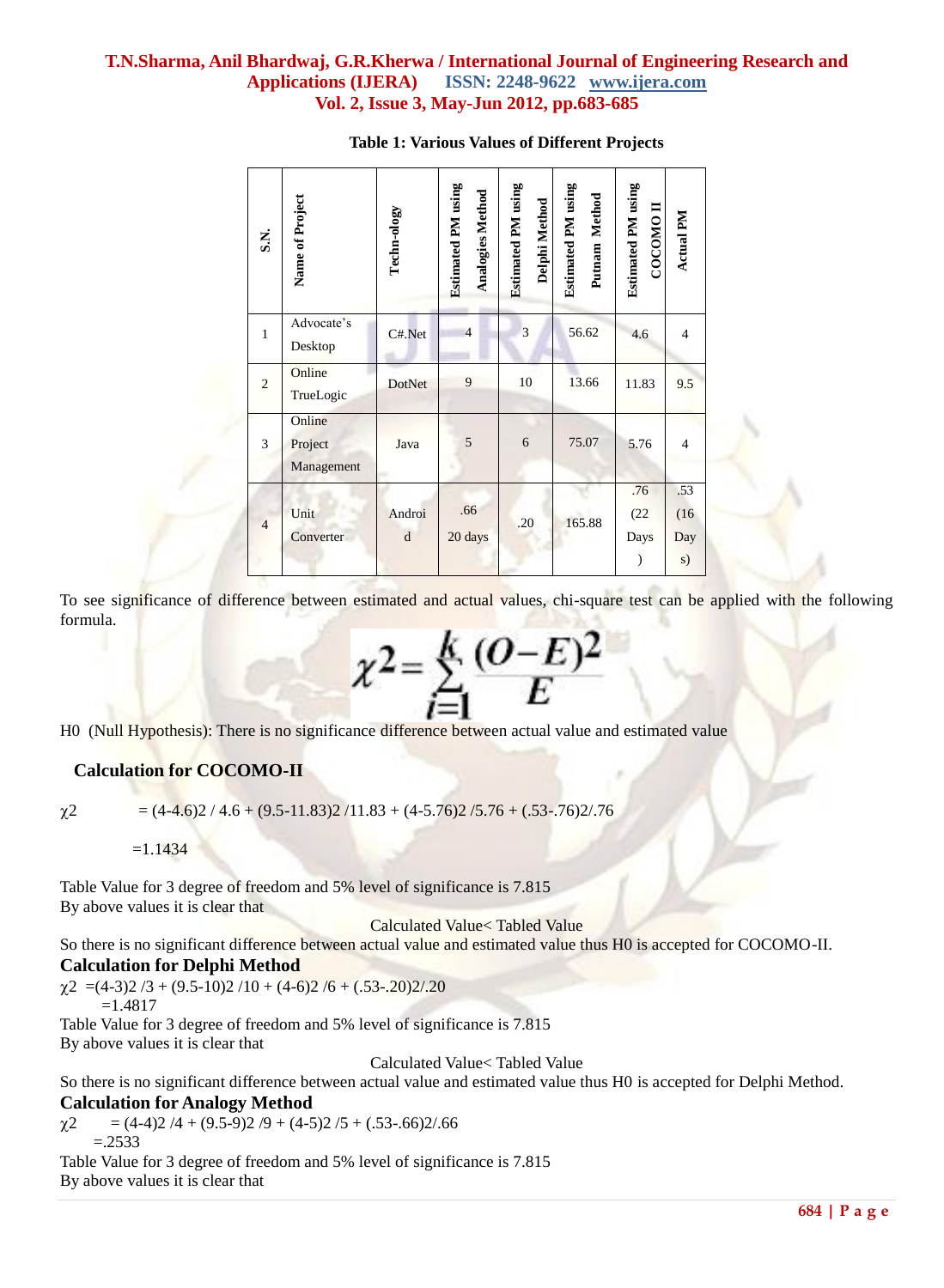## **T.N.Sharma, Anil Bhardwaj, G.R.Kherwa / International Journal of Engineering Research and Applications (IJERA) ISSN: 2248-9622 www.ijera.com Vol. 2, Issue 3, May-Jun 2012, pp.683-685**

|                                                                                                                                                                                                                             | S.N.           | Name of Project                 | Techn-ology                                 | <b>Estimated PM</b> using<br><b>Analogies Method</b> | <b>Estimated PM</b> using<br>Delphi Method | <b>Estimated PM</b> using<br>Putnam Method | <b>Estimated PM</b> using<br>покорос | Actual PM                |
|-----------------------------------------------------------------------------------------------------------------------------------------------------------------------------------------------------------------------------|----------------|---------------------------------|---------------------------------------------|------------------------------------------------------|--------------------------------------------|--------------------------------------------|--------------------------------------|--------------------------|
|                                                                                                                                                                                                                             | 1              | Advocate's<br>Desktop           | $C#$ . Net                                  | $\overline{4}$                                       | $\mathfrak{Z}$                             | 56.62                                      | 4.6                                  | 4                        |
|                                                                                                                                                                                                                             | $\overline{2}$ | Online<br>TrueLogic             | DotNet                                      | 9                                                    | 10                                         | 13.66                                      | 11.83                                | 9.5                      |
|                                                                                                                                                                                                                             | 3              | Online<br>Project<br>Management | Java                                        | 5                                                    | $\sqrt{6}$                                 | 75.07                                      | 5.76                                 | 4                        |
|                                                                                                                                                                                                                             | $\overline{4}$ | Unit<br>Converter               | Androi<br>d                                 | .66<br>20 days                                       | .20                                        | 165.88                                     | .76<br>(22)<br>Days<br>$\mathcal{E}$ | .53<br>(16)<br>Day<br>s) |
| H0 (Null Hypothesis): There is no significance difference between actual value and estimated val<br><b>Calculation for COCOMO-II</b><br>$=(4-4.6)2 / 4.6 + (9.5-11.83)2 / 11.83 + (4-5.76)2 / 5.76 + (0.53-76)2 / 76$<br>χ2 |                |                                 | $\chi^2 = \sum_{r=0}^{K} \frac{(O-E)^2}{F}$ |                                                      |                                            |                                            |                                      |                          |
| $=1.1434$                                                                                                                                                                                                                   |                |                                 |                                             |                                                      |                                            |                                            |                                      |                          |
| Table Value for 3 degree of freedom and 5% level of significance is 7.815<br>By above values it is clear that<br>So there is no significant difference between actual value and estimated value thus H0 is accepted         |                |                                 | Calculated Value< Tabled Value              |                                                      |                                            |                                            |                                      |                          |
| <b>Calculation for Delphi Method</b><br>$\chi$ 2 = (4-3)2 /3 + (9.5-10)2 /10 + (4-6)2 /6 + (.53-.20)2/.20<br>$=1.4817$                                                                                                      |                |                                 |                                             |                                                      |                                            |                                            |                                      |                          |
| Table Value for 3 degree of freedom and 5% level of significance is 7.815<br>By above values it is clear that                                                                                                               |                |                                 |                                             |                                                      |                                            |                                            |                                      |                          |
| So there is no significant difference between actual value and estimated value thus H0 is accepted<br><b>Calculation for Analogy Method</b>                                                                                 |                |                                 | Calculated Value< Tabled Value              |                                                      |                                            |                                            |                                      |                          |
| $=(4-4)2/4 + (9.5-9)2/9 + (4-5)2/5 + (.53-.66)2/.66$<br>χ2<br>$=.2533$                                                                                                                                                      |                |                                 |                                             |                                                      |                                            |                                            |                                      |                          |
| Table Value for 3 degree of freedom and 5% level of significance is 7.815<br>By above values it is clear that                                                                                                               |                |                                 |                                             |                                                      |                                            |                                            |                                      |                          |

#### **Table 1: Various Values of Different Projects**

To see significance of difference between estimated and actual values, chi-square test can be applied with the following formula.

$$
\chi^2 = \sum_{i=1}^k \frac{(O-E)^2}{E}
$$

## **Calculation for COCOMO-II**

So there is no significant difference between actual value and estimated value thus H0 is accepted for COCOMO-II. **Calculation for Delphi Method**

So there is no significant difference between actual value and estimated value thus H0 is accepted for Delphi Method. **Calculation for Analogy Method**